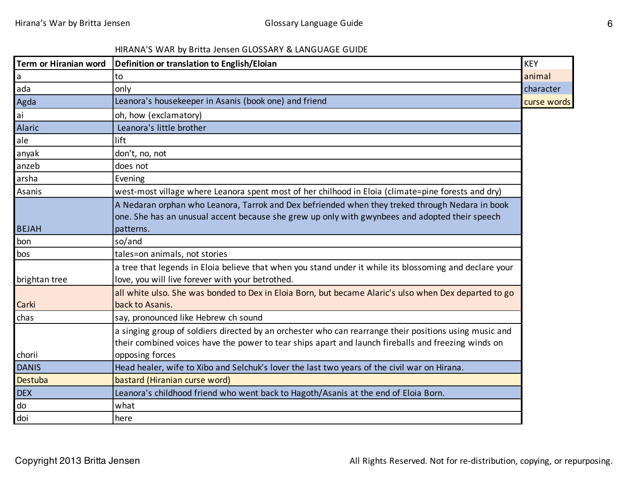## HIRANA'S WAR by Britta Jensen GLOSSARY & LANGUAGE GUIDE

| Term or Hiranian word | Definition or translation to English/Eloian                                                                                                                                                                   | <b>KEY</b>  |
|-----------------------|---------------------------------------------------------------------------------------------------------------------------------------------------------------------------------------------------------------|-------------|
| a                     | to                                                                                                                                                                                                            | animal      |
| ada                   | only                                                                                                                                                                                                          | character   |
| Agda                  | Leanora's housekeeper in Asanis (book one) and friend                                                                                                                                                         | curse words |
| ai                    | oh, how (exclamatory)                                                                                                                                                                                         |             |
| <b>Alaric</b>         | Leanora's little brother                                                                                                                                                                                      |             |
| ale                   | lift                                                                                                                                                                                                          |             |
| anyak                 | don't, no, not                                                                                                                                                                                                |             |
| anzeb                 | does not                                                                                                                                                                                                      |             |
| arsha                 | Evening                                                                                                                                                                                                       |             |
| Asanis                | west-most village where Leanora spent most of her chilhood in Eloia (climate=pine forests and dry)                                                                                                            |             |
|                       | A Nedaran orphan who Leanora, Tarrok and Dex befriended when they treked through Nedara in book<br>one. She has an unusual accent because she grew up only with gwynbees and adopted their speech             |             |
| <b>BEJAH</b>          | patterns.                                                                                                                                                                                                     |             |
| bon                   | so/and                                                                                                                                                                                                        |             |
| bos                   | tales=on animals, not stories                                                                                                                                                                                 |             |
| brightan tree         | a tree that legends in Eloia believe that when you stand under it while its blossoming and declare your<br>love, you will live forever with your betrothed.                                                   |             |
| Carki                 | all white ulso. She was bonded to Dex in Eloia Born, but became Alaric's ulso when Dex departed to go<br>back to Asanis.                                                                                      |             |
| chas                  | say, pronounced like Hebrew ch sound                                                                                                                                                                          |             |
|                       | a singing group of soldiers directed by an orchester who can rearrange their positions using music and<br>their combined voices have the power to tear ships apart and launch fireballs and freezing winds on |             |
| chorii                | opposing forces                                                                                                                                                                                               |             |
| <b>DANIS</b>          | Head healer, wife to Xibo and Selchuk's lover the last two years of the civil war on Hirana.                                                                                                                  |             |
| Destuba               | bastard (Hiranian curse word)                                                                                                                                                                                 |             |
| <b>DEX</b>            | Leanora's childhood friend who went back to Hagoth/Asanis at the end of Eloia Born.                                                                                                                           |             |
| do                    | what                                                                                                                                                                                                          |             |
| doi                   | here                                                                                                                                                                                                          |             |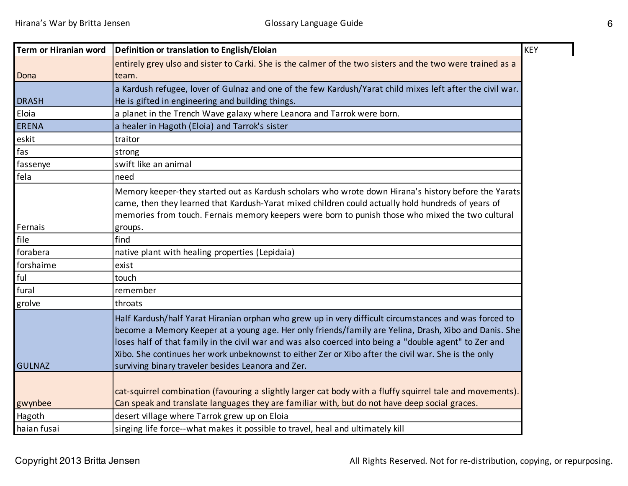| Term or Hiranian word | Definition or translation to English/Eloian                                                                                                                                                                                                                                                                                                                                                                                                                                           |
|-----------------------|---------------------------------------------------------------------------------------------------------------------------------------------------------------------------------------------------------------------------------------------------------------------------------------------------------------------------------------------------------------------------------------------------------------------------------------------------------------------------------------|
|                       | entirely grey ulso and sister to Carki. She is the calmer of the two sisters and the two were trained as a                                                                                                                                                                                                                                                                                                                                                                            |
| Dona                  | team.                                                                                                                                                                                                                                                                                                                                                                                                                                                                                 |
|                       | a Kardush refugee, lover of Gulnaz and one of the few Kardush/Yarat child mixes left after the civil war.                                                                                                                                                                                                                                                                                                                                                                             |
| <b>DRASH</b>          | He is gifted in engineering and building things.                                                                                                                                                                                                                                                                                                                                                                                                                                      |
| Eloia                 | a planet in the Trench Wave galaxy where Leanora and Tarrok were born.                                                                                                                                                                                                                                                                                                                                                                                                                |
| <b>ERENA</b>          | a healer in Hagoth (Eloia) and Tarrok's sister                                                                                                                                                                                                                                                                                                                                                                                                                                        |
| eskit                 | traitor                                                                                                                                                                                                                                                                                                                                                                                                                                                                               |
| fas                   | strong                                                                                                                                                                                                                                                                                                                                                                                                                                                                                |
| fassenye              | swift like an animal                                                                                                                                                                                                                                                                                                                                                                                                                                                                  |
| fela                  | need                                                                                                                                                                                                                                                                                                                                                                                                                                                                                  |
| Fernais               | Memory keeper-they started out as Kardush scholars who wrote down Hirana's history before the Yarats<br>came, then they learned that Kardush-Yarat mixed children could actually hold hundreds of years of<br>memories from touch. Fernais memory keepers were born to punish those who mixed the two cultural<br>groups.                                                                                                                                                             |
| file                  | find                                                                                                                                                                                                                                                                                                                                                                                                                                                                                  |
| forabera              | native plant with healing properties (Lepidaia)                                                                                                                                                                                                                                                                                                                                                                                                                                       |
| forshaime             | exist                                                                                                                                                                                                                                                                                                                                                                                                                                                                                 |
| ful                   | touch                                                                                                                                                                                                                                                                                                                                                                                                                                                                                 |
| fural                 | remember                                                                                                                                                                                                                                                                                                                                                                                                                                                                              |
| grolve                | throats                                                                                                                                                                                                                                                                                                                                                                                                                                                                               |
| <b>GULNAZ</b>         | Half Kardush/half Yarat Hiranian orphan who grew up in very difficult circumstances and was forced to<br>become a Memory Keeper at a young age. Her only friends/family are Yelina, Drash, Xibo and Danis. She<br>loses half of that family in the civil war and was also coerced into being a "double agent" to Zer and<br>Xibo. She continues her work unbeknownst to either Zer or Xibo after the civil war. She is the only<br>surviving binary traveler besides Leanora and Zer. |
| gwynbee               | cat-squirrel combination (favouring a slightly larger cat body with a fluffy squirrel tale and movements).<br>Can speak and translate languages they are familiar with, but do not have deep social graces.                                                                                                                                                                                                                                                                           |
| Hagoth                | desert village where Tarrok grew up on Eloia                                                                                                                                                                                                                                                                                                                                                                                                                                          |
| haian fusai           | singing life force--what makes it possible to travel, heal and ultimately kill                                                                                                                                                                                                                                                                                                                                                                                                        |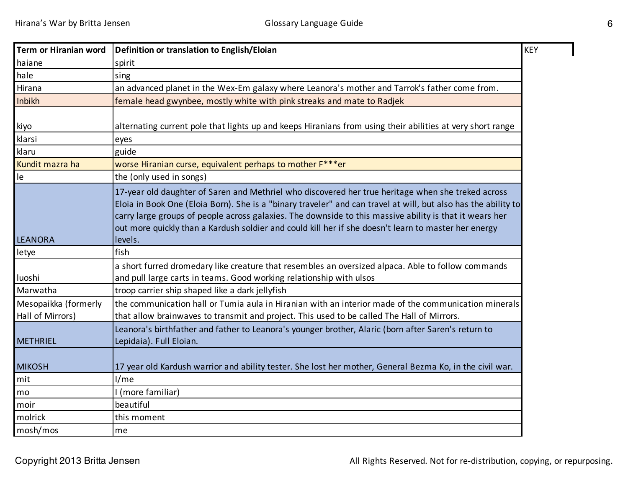| Term or Hiranian word                    | <b>KEY</b><br>Definition or translation to English/Eloian                                                                                                                                                                                                                                                                                                                                                                                          |
|------------------------------------------|----------------------------------------------------------------------------------------------------------------------------------------------------------------------------------------------------------------------------------------------------------------------------------------------------------------------------------------------------------------------------------------------------------------------------------------------------|
| haiane                                   | spirit                                                                                                                                                                                                                                                                                                                                                                                                                                             |
| hale                                     | sing                                                                                                                                                                                                                                                                                                                                                                                                                                               |
| Hirana                                   | an advanced planet in the Wex-Em galaxy where Leanora's mother and Tarrok's father come from.                                                                                                                                                                                                                                                                                                                                                      |
| Inbikh                                   | female head gwynbee, mostly white with pink streaks and mate to Radjek                                                                                                                                                                                                                                                                                                                                                                             |
| kiyo<br>klarsi                           | alternating current pole that lights up and keeps Hiranians from using their abilities at very short range<br>eyes                                                                                                                                                                                                                                                                                                                                 |
| klaru                                    | guide                                                                                                                                                                                                                                                                                                                                                                                                                                              |
| Kundit mazra ha<br>le                    | worse Hiranian curse, equivalent perhaps to mother F***er<br>the (only used in songs)                                                                                                                                                                                                                                                                                                                                                              |
| <b>LEANORA</b>                           | 17-year old daughter of Saren and Methriel who discovered her true heritage when she treked across<br>Eloia in Book One (Eloia Born). She is a "binary traveler" and can travel at will, but also has the ability to<br>carry large groups of people across galaxies. The downside to this massive ability is that it wears her<br>out more quickly than a Kardush soldier and could kill her if she doesn't learn to master her energy<br>levels. |
| letye                                    | fish                                                                                                                                                                                                                                                                                                                                                                                                                                               |
| luoshi                                   | a short furred dromedary like creature that resembles an oversized alpaca. Able to follow commands<br>and pull large carts in teams. Good working relationship with ulsos                                                                                                                                                                                                                                                                          |
| Marwatha                                 | troop carrier ship shaped like a dark jellyfish                                                                                                                                                                                                                                                                                                                                                                                                    |
| Mesopaikka (formerly<br>Hall of Mirrors) | the communication hall or Tumia aula in Hiranian with an interior made of the communication minerals<br>that allow brainwaves to transmit and project. This used to be called The Hall of Mirrors.                                                                                                                                                                                                                                                 |
| <b>METHRIEL</b>                          | Leanora's birthfather and father to Leanora's younger brother, Alaric (born after Saren's return to<br>Lepidaia). Full Eloian.                                                                                                                                                                                                                                                                                                                     |
| <b>MIKOSH</b>                            | 17 year old Kardush warrior and ability tester. She lost her mother, General Bezma Ko, in the civil war.                                                                                                                                                                                                                                                                                                                                           |
| mit                                      | I/me                                                                                                                                                                                                                                                                                                                                                                                                                                               |
| mo                                       | I (more familiar)                                                                                                                                                                                                                                                                                                                                                                                                                                  |
| moir                                     | beautiful                                                                                                                                                                                                                                                                                                                                                                                                                                          |
| molrick                                  | this moment                                                                                                                                                                                                                                                                                                                                                                                                                                        |
| mosh/mos                                 | me                                                                                                                                                                                                                                                                                                                                                                                                                                                 |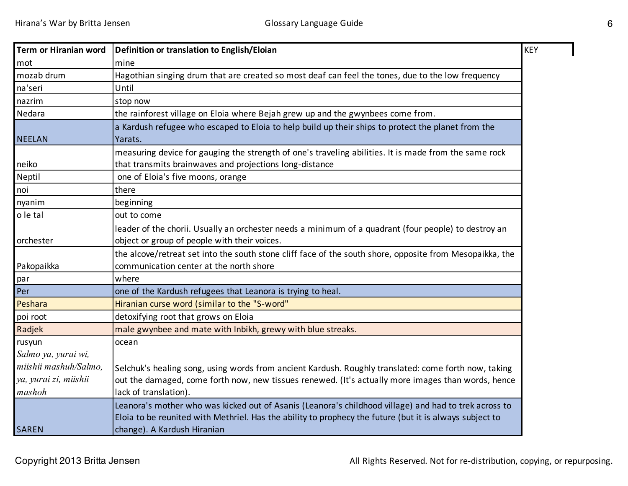| Term or Hiranian word | Definition or translation to English/Eloian                                                                                                                                                                                                     | <b>KEY</b> |
|-----------------------|-------------------------------------------------------------------------------------------------------------------------------------------------------------------------------------------------------------------------------------------------|------------|
| mot                   | mine                                                                                                                                                                                                                                            |            |
| mozab drum            | Hagothian singing drum that are created so most deaf can feel the tones, due to the low frequency                                                                                                                                               |            |
| na'seri               | Until                                                                                                                                                                                                                                           |            |
| nazrim                | stop now                                                                                                                                                                                                                                        |            |
| Nedara                | the rainforest village on Eloia where Bejah grew up and the gwynbees come from.                                                                                                                                                                 |            |
| <b>NEELAN</b>         | a Kardush refugee who escaped to Eloia to help build up their ships to protect the planet from the<br>Yarats.                                                                                                                                   |            |
| neiko                 | measuring device for gauging the strength of one's traveling abilities. It is made from the same rock<br>that transmits brainwaves and projections long-distance                                                                                |            |
| Neptil                | one of Eloia's five moons, orange                                                                                                                                                                                                               |            |
| noi                   | there                                                                                                                                                                                                                                           |            |
| nyanim                | beginning                                                                                                                                                                                                                                       |            |
| o le tal              | out to come                                                                                                                                                                                                                                     |            |
| orchester             | leader of the chorii. Usually an orchester needs a minimum of a quadrant (four people) to destroy an<br>object or group of people with their voices.                                                                                            |            |
| Pakopaikka            | the alcove/retreat set into the south stone cliff face of the south shore, opposite from Mesopaikka, the<br>communication center at the north shore                                                                                             |            |
| par                   | where                                                                                                                                                                                                                                           |            |
| Per                   | one of the Kardush refugees that Leanora is trying to heal.                                                                                                                                                                                     |            |
| Peshara               | Hiranian curse word (similar to the "S-word"                                                                                                                                                                                                    |            |
| poi root              | detoxifying root that grows on Eloia                                                                                                                                                                                                            |            |
| Radjek                | male gwynbee and mate with Inbikh, grewy with blue streaks.                                                                                                                                                                                     |            |
| rusyun                | ocean                                                                                                                                                                                                                                           |            |
| Salmo ya, yurai wi,   |                                                                                                                                                                                                                                                 |            |
| miishii mashuh/Salmo, | Selchuk's healing song, using words from ancient Kardush. Roughly translated: come forth now, taking                                                                                                                                            |            |
| ya, yurai zi, miishii | out the damaged, come forth now, new tissues renewed. (It's actually more images than words, hence                                                                                                                                              |            |
| mashoh                | lack of translation).                                                                                                                                                                                                                           |            |
| <b>SAREN</b>          | Leanora's mother who was kicked out of Asanis (Leanora's childhood village) and had to trek across to<br>Eloia to be reunited with Methriel. Has the ability to prophecy the future (but it is always subject to<br>change). A Kardush Hiranian |            |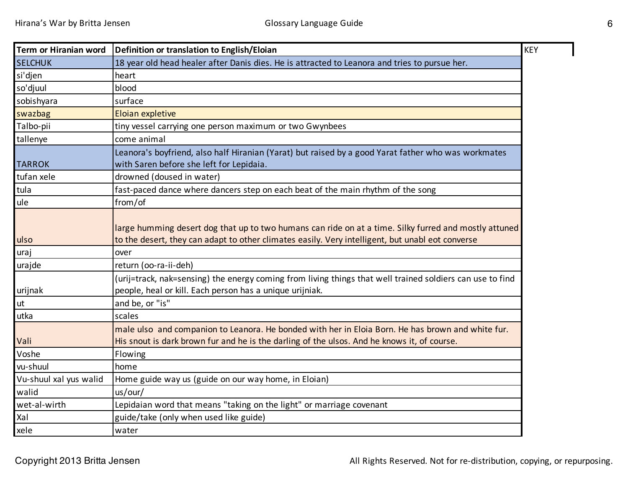| Term or Hiranian word  | Definition or translation to English/Eloian                                                                                                                                                               | <b>KEY</b> |
|------------------------|-----------------------------------------------------------------------------------------------------------------------------------------------------------------------------------------------------------|------------|
| <b>SELCHUK</b>         | 18 year old head healer after Danis dies. He is attracted to Leanora and tries to pursue her.                                                                                                             |            |
| si'djen                | heart                                                                                                                                                                                                     |            |
| so'djuul               | blood                                                                                                                                                                                                     |            |
| sobishyara             | surface                                                                                                                                                                                                   |            |
| swazbag                | <b>Eloian expletive</b>                                                                                                                                                                                   |            |
| Talbo-pii              | tiny vessel carrying one person maximum or two Gwynbees                                                                                                                                                   |            |
| tallenye               | come animal                                                                                                                                                                                               |            |
| <b>TARROK</b>          | Leanora's boyfriend, also half Hiranian (Yarat) but raised by a good Yarat father who was workmates<br>with Saren before she left for Lepidaia.                                                           |            |
| tufan xele             | drowned (doused in water)                                                                                                                                                                                 |            |
| tula                   | fast-paced dance where dancers step on each beat of the main rhythm of the song                                                                                                                           |            |
| ule                    | from/of                                                                                                                                                                                                   |            |
| ulso                   | large humming desert dog that up to two humans can ride on at a time. Silky furred and mostly attuned<br>to the desert, they can adapt to other climates easily. Very intelligent, but unabl eot converse |            |
| uraj                   | over                                                                                                                                                                                                      |            |
| urajde                 | return (oo-ra-ii-deh)                                                                                                                                                                                     |            |
| urijnak                | (urij=track, nak=sensing) the energy coming from living things that well trained soldiers can use to find<br>people, heal or kill. Each person has a unique urijniak.                                     |            |
| ut                     | and be, or "is"                                                                                                                                                                                           |            |
| utka                   | scales                                                                                                                                                                                                    |            |
| Vali                   | male ulso and companion to Leanora. He bonded with her in Eloia Born. He has brown and white fur.<br>His snout is dark brown fur and he is the darling of the ulsos. And he knows it, of course.          |            |
| Voshe                  | Flowing                                                                                                                                                                                                   |            |
| vu-shuul               | home                                                                                                                                                                                                      |            |
| Vu-shuul xal yus walid | Home guide way us (guide on our way home, in Eloian)                                                                                                                                                      |            |
| walid                  | us/our/                                                                                                                                                                                                   |            |
| wet-al-wirth           | Lepidaian word that means "taking on the light" or marriage covenant                                                                                                                                      |            |
| Xal                    | guide/take (only when used like guide)                                                                                                                                                                    |            |
| xele                   | water                                                                                                                                                                                                     |            |